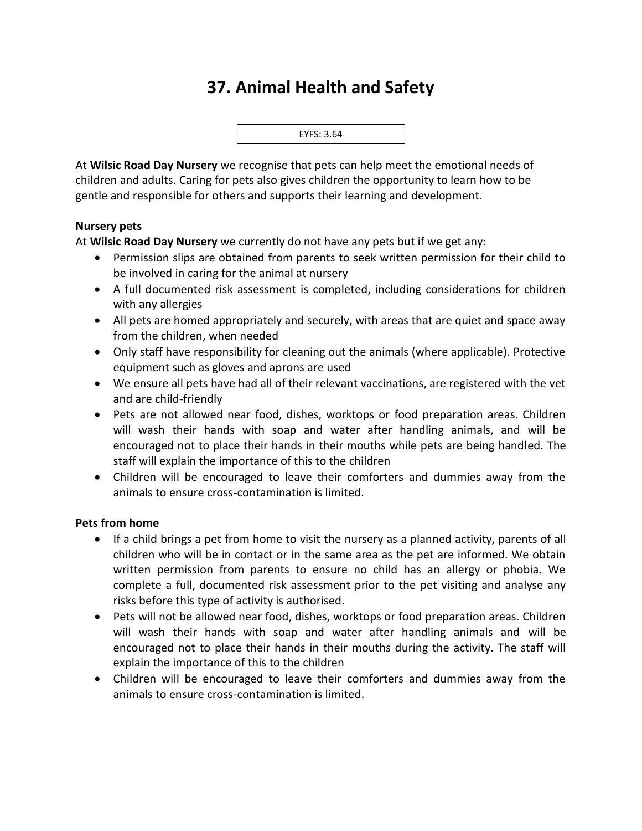# **37. Animal Health and Safety**



At **Wilsic Road Day Nursery** we recognise that pets can help meet the emotional needs of children and adults. Caring for pets also gives children the opportunity to learn how to be gentle and responsible for others and supports their learning and development.

#### **Nursery pets**

At **Wilsic Road Day Nursery** we currently do not have any pets but if we get any:

- Permission slips are obtained from parents to seek written permission for their child to be involved in caring for the animal at nursery
- A full documented risk assessment is completed, including considerations for children with any allergies
- All pets are homed appropriately and securely, with areas that are quiet and space away from the children, when needed
- Only staff have responsibility for cleaning out the animals (where applicable). Protective equipment such as gloves and aprons are used
- We ensure all pets have had all of their relevant vaccinations, are registered with the vet and are child-friendly
- Pets are not allowed near food, dishes, worktops or food preparation areas. Children will wash their hands with soap and water after handling animals, and will be encouraged not to place their hands in their mouths while pets are being handled. The staff will explain the importance of this to the children
- Children will be encouraged to leave their comforters and dummies away from the animals to ensure cross-contamination is limited.

#### **Pets from home**

- If a child brings a pet from home to visit the nursery as a planned activity, parents of all children who will be in contact or in the same area as the pet are informed. We obtain written permission from parents to ensure no child has an allergy or phobia. We complete a full, documented risk assessment prior to the pet visiting and analyse any risks before this type of activity is authorised.
- Pets will not be allowed near food, dishes, worktops or food preparation areas. Children will wash their hands with soap and water after handling animals and will be encouraged not to place their hands in their mouths during the activity. The staff will explain the importance of this to the children
- Children will be encouraged to leave their comforters and dummies away from the animals to ensure cross-contamination is limited.